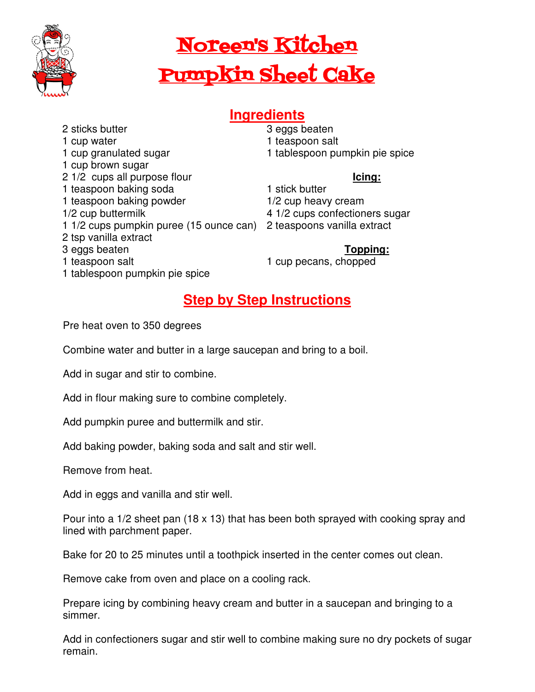

# Noreen's Kitchen Pumpkin Sheet Cake

## **Ingredients**

2 sticks butter 1 cup water 1 cup granulated sugar 1 cup brown sugar 2 1/2 cups all purpose flour 1 teaspoon baking soda 1 teaspoon baking powder 1/2 cup buttermilk 2 tsp vanilla extract 3 eggs beaten 1 teaspoon salt

3 eggs beaten 1 teaspoon salt

- 
- 1 tablespoon pumpkin pie spice

### **Icing:**

#### 1 stick butter

- 1/2 cup heavy cream
- 4 1/2 cups confectioners sugar
- 1 1/2 cups pumpkin puree (15 ounce can) 2 teaspoons vanilla extract

## **Topping:**

1 cup pecans, chopped

1 tablespoon pumpkin pie spice

## **Step by Step Instructions**

Pre heat oven to 350 degrees

Combine water and butter in a large saucepan and bring to a boil.

Add in sugar and stir to combine.

Add in flour making sure to combine completely.

Add pumpkin puree and buttermilk and stir.

Add baking powder, baking soda and salt and stir well.

Remove from heat.

Add in eggs and vanilla and stir well.

Pour into a 1/2 sheet pan (18 x 13) that has been both sprayed with cooking spray and lined with parchment paper.

Bake for 20 to 25 minutes until a toothpick inserted in the center comes out clean.

Remove cake from oven and place on a cooling rack.

Prepare icing by combining heavy cream and butter in a saucepan and bringing to a simmer.

Add in confectioners sugar and stir well to combine making sure no dry pockets of sugar remain.